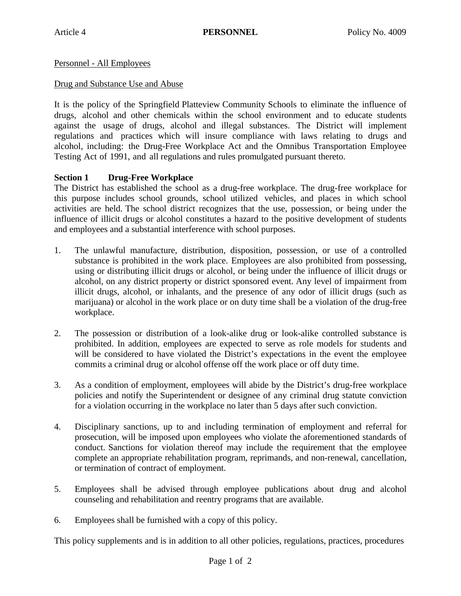Personnel - All Employees

## Drug and Substance Use and Abuse

It is the policy of the Springfield Platteview Community Schools to eliminate the influence of drugs, alcohol and other chemicals within the school environment and to educate students against the usage of drugs, alcohol and illegal substances. The District will implement regulations and practices which will insure compliance with laws relating to drugs and alcohol, including: the Drug-Free Workplace Act and the Omnibus Transportation Employee Testing Act of 1991, and all regulations and rules promulgated pursuant thereto.

## **Section 1 Drug-Free Workplace**

The District has established the school as a drug-free workplace. The drug-free workplace for this purpose includes school grounds, school utilized vehicles, and places in which school activities are held. The school district recognizes that the use, possession, or being under the influence of illicit drugs or alcohol constitutes a hazard to the positive development of students and employees and a substantial interference with school purposes.

- 1. The unlawful manufacture, distribution, disposition, possession, or use of a controlled substance is prohibited in the work place. Employees are also prohibited from possessing, using or distributing illicit drugs or alcohol, or being under the influence of illicit drugs or alcohol, on any district property or district sponsored event. Any level of impairment from illicit drugs, alcohol, or inhalants, and the presence of any odor of illicit drugs (such as marijuana) or alcohol in the work place or on duty time shall be a violation of the drug-free workplace.
- 2. The possession or distribution of a look-alike drug or look-alike controlled substance is prohibited. In addition, employees are expected to serve as role models for students and will be considered to have violated the District's expectations in the event the employee commits a criminal drug or alcohol offense off the work place or off duty time.
- 3. As a condition of employment, employees will abide by the District's drug-free workplace policies and notify the Superintendent or designee of any criminal drug statute conviction for a violation occurring in the workplace no later than 5 days after such conviction.
- 4. Disciplinary sanctions, up to and including termination of employment and referral for prosecution, will be imposed upon employees who violate the aforementioned standards of conduct. Sanctions for violation thereof may include the requirement that the employee complete an appropriate rehabilitation program, reprimands, and non-renewal, cancellation, or termination of contract of employment.
- 5. Employees shall be advised through employee publications about drug and alcohol counseling and rehabilitation and reentry programs that are available.
- 6. Employees shall be furnished with a copy of this policy.

This policy supplements and is in addition to all other policies, regulations, practices, procedures